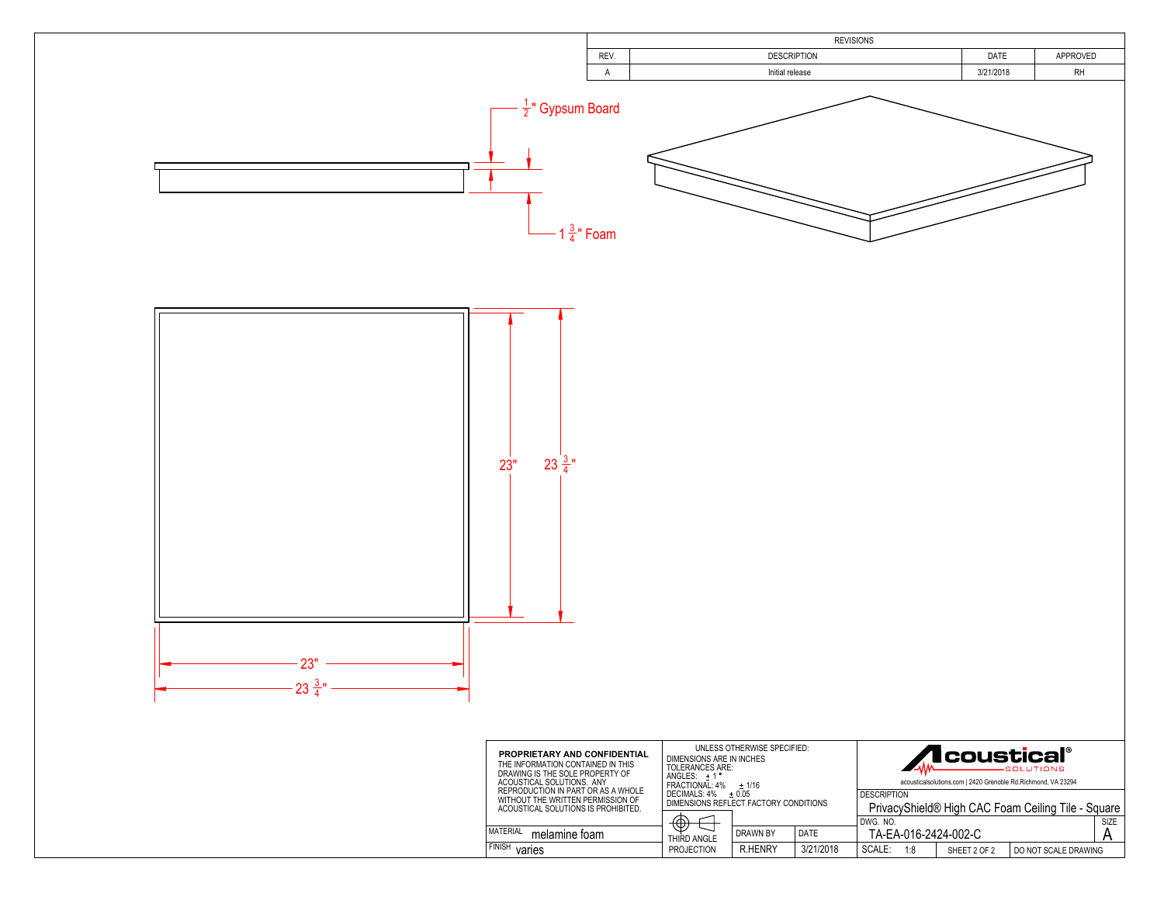